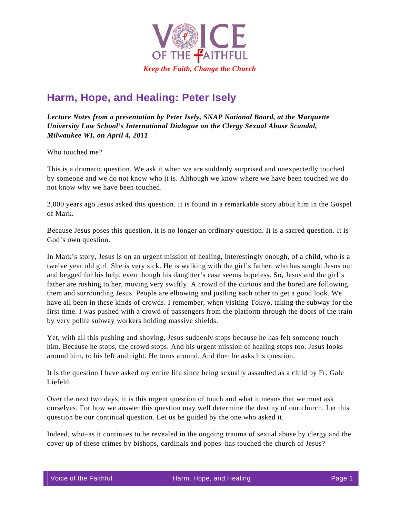

## **Harm, Hope, and Healing: Peter Isely**

*Lecture Notes from a presentation by Peter Isely, SNAP National Board, at the Marquette University Law School's International Dialogue on the Clergy Sexual Abuse Scandal, Milwaukee WI, on April 4, 2011* 

Who touched me?

This is a dramatic question. We ask it when we are suddenly surprised and unexpectedly touched by someone and we do not know who it is. Although we know where we have been touched we do not know why we have been touched.

2,000 years ago Jesus asked this question. It is found in a remarkable story about him in the Gospel of Mark.

Because Jesus poses this question, it is no longer an ordinary question. It is a sacred question. It is God's own question.

In Mark's story, Jesus is on an urgent mission of healing, interestingly enough, of a child, who is a twelve year old girl. She is very sick. He is walking with the girl's father, who has sought Jesus out and begged for his help, even though his daughter's case seems hopeless. So, Jesus and the girl's father are rushing to her, moving very swiftly. A crowd of the curious and the bored are following them and surrounding Jesus. People are elbowing and jostling each other to get a good look. We have all been in these kinds of crowds. I remember, when visiting Tokyo, taking the subway for the first time. I was pushed with a crowd of passengers from the platform through the doors of the train by very polite subway workers holding massive shields.

Yet, with all this pushing and shoving, Jesus suddenly stops because he has felt someone touch him. Because he stops, the crowd stops. And his urgent mission of healing stops too. Jesus looks around him, to his left and right. He turns around. And then he asks his question.

It is the question I have asked my entire life since being sexually assaulted as a child by Fr. Gale Liefeld.

Over the next two days, it is this urgent question of touch and what it means that we must ask ourselves. For how we answer this question may well determine the destiny of our church. Let this question be our continual question. Let us be guided by the one who asked it.

Indeed, who–as it continues to be revealed in the ongoing trauma of sexual abuse by clergy and the cover up of these crimes by bishops, cardinals and popes–has touched the church of Jesus?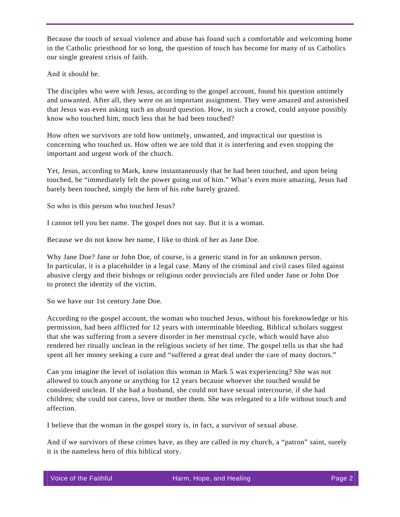Because the touch of sexual violence and abuse has found such a comfortable and welcoming home in the Catholic priesthood for so long, the question of touch has become for many of us Catholics our single greatest crisis of faith.

And it should be.

The disciples who were with Jesus, according to the gospel account, found his question untimely and unwanted. After all, they were on an important assignment. They were amazed and astonished that Jesus was even asking such an absurd question. How, in such a crowd, could anyone possibly know who touched him, much less that he had been touched?

How often we survivors are told how untimely, unwanted, and impractical our question is concerning who touched us. How often we are told that it is interfering and even stopping the important and urgent work of the church.

Yet, Jesus, according to Mark, knew instantaneously that he had been touched, and upon being touched, he "immediately felt the power going out of him." What's even more amazing, Jesus had barely been touched, simply the hem of his robe barely grazed.

So who is this person who touched Jesus?

I cannot tell you her name. The gospel does not say. But it is a woman.

Because we do not know her name, I like to think of her as Jane Doe.

Why Jane Doe? Jane or John Doe, of course, is a generic stand in for an unknown person. In particular, it is a placeholder in a legal case. Many of the criminal and civil cases filed against abusive clergy and their bishops or religious order provincials are filed under Jane or John Doe to protect the identity of the victim.

So we have our 1st century Jane Doe.

According to the gospel account, the woman who touched Jesus, without his foreknowledge or his permission, had been afflicted for 12 years with interminable bleeding. Biblical scholars suggest that she was suffering from a severe disorder in her menstrual cycle, which would have also rendered her ritually unclean in the religious society of her time. The gospel tells us that she had spent all her money seeking a cure and "suffered a great deal under the care of many doctors."

Can you imagine the level of isolation this woman in Mark 5 was experiencing? She was not allowed to touch anyone or anything for 12 years because whoever she touched would be considered unclean. If she had a husband, she could not have sexual intercourse, if she had children; she could not caress, love or mother them. She was relegated to a life without touch and affection.

I believe that the woman in the gospel story is, in fact, a survivor of sexual abuse.

And if we survivors of these crimes have, as they are called in my church, a "patron" saint, surely it is the nameless hero of this biblical story.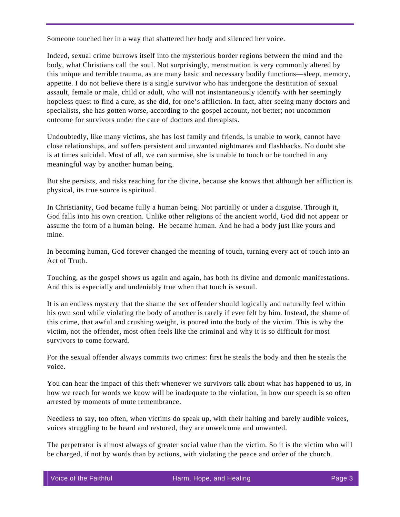Someone touched her in a way that shattered her body and silenced her voice.

Indeed, sexual crime burrows itself into the mysterious border regions between the mind and the body, what Christians call the soul. Not surprisingly, menstruation is very commonly altered by this unique and terrible trauma, as are many basic and necessary bodily functions—sleep, memory, appetite. I do not believe there is a single survivor who has undergone the destitution of sexual assault, female or male, child or adult, who will not instantaneously identify with her seemingly hopeless quest to find a cure, as she did, for one's affliction. In fact, after seeing many doctors and specialists, she has gotten worse, according to the gospel account, not better; not uncommon outcome for survivors under the care of doctors and therapists.

Undoubtedly, like many victims, she has lost family and friends, is unable to work, cannot have close relationships, and suffers persistent and unwanted nightmares and flashbacks. No doubt she is at times suicidal. Most of all, we can surmise, she is unable to touch or be touched in any meaningful way by another human being.

But she persists, and risks reaching for the divine, because she knows that although her affliction is physical, its true source is spiritual.

In Christianity, God became fully a human being. Not partially or under a disguise. Through it, God falls into his own creation. Unlike other religions of the ancient world, God did not appear or assume the form of a human being. He became human. And he had a body just like yours and mine.

In becoming human, God forever changed the meaning of touch, turning every act of touch into an Act of Truth.

Touching, as the gospel shows us again and again, has both its divine and demonic manifestations. And this is especially and undeniably true when that touch is sexual.

It is an endless mystery that the shame the sex offender should logically and naturally feel within his own soul while violating the body of another is rarely if ever felt by him. Instead, the shame of this crime, that awful and crushing weight, is poured into the body of the victim. This is why the victim, not the offender, most often feels like the criminal and why it is so difficult for most survivors to come forward.

For the sexual offender always commits two crimes: first he steals the body and then he steals the voice.

You can hear the impact of this theft whenever we survivors talk about what has happened to us, in how we reach for words we know will be inadequate to the violation, in how our speech is so often arrested by moments of mute remembrance.

Needless to say, too often, when victims do speak up, with their halting and barely audible voices, voices struggling to be heard and restored, they are unwelcome and unwanted.

The perpetrator is almost always of greater social value than the victim. So it is the victim who will be charged, if not by words than by actions, with violating the peace and order of the church.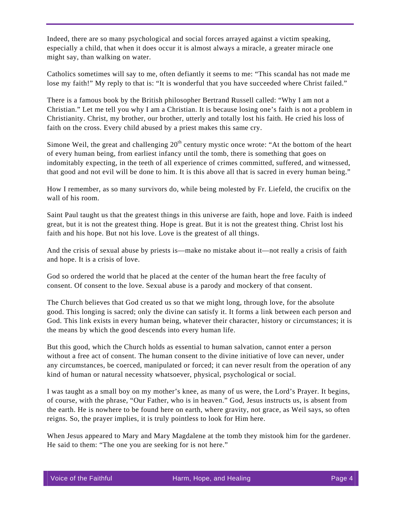Indeed, there are so many psychological and social forces arrayed against a victim speaking, especially a child, that when it does occur it is almost always a miracle, a greater miracle one might say, than walking on water.

Catholics sometimes will say to me, often defiantly it seems to me: "This scandal has not made me lose my faith!" My reply to that is: "It is wonderful that you have succeeded where Christ failed."

There is a famous book by the British philosopher Bertrand Russell called: "Why I am not a Christian." Let me tell you why I am a Christian. It is because losing one's faith is not a problem in Christianity. Christ, my brother, our brother, utterly and totally lost his faith. He cried his loss of faith on the cross. Every child abused by a priest makes this same cry.

Simone Weil, the great and challenging  $20<sup>th</sup>$  century mystic once wrote: "At the bottom of the heart of every human being, from earliest infancy until the tomb, there is something that goes on indomitably expecting, in the teeth of all experience of crimes committed, suffered, and witnessed, that good and not evil will be done to him. It is this above all that is sacred in every human being."

How I remember, as so many survivors do, while being molested by Fr. Liefeld, the crucifix on the wall of his room.

Saint Paul taught us that the greatest things in this universe are faith, hope and love. Faith is indeed great, but it is not the greatest thing. Hope is great. But it is not the greatest thing. Christ lost his faith and his hope. But not his love. Love is the greatest of all things.

And the crisis of sexual abuse by priests is—make no mistake about it—not really a crisis of faith and hope. It is a crisis of love.

God so ordered the world that he placed at the center of the human heart the free faculty of consent. Of consent to the love. Sexual abuse is a parody and mockery of that consent.

The Church believes that God created us so that we might long, through love, for the absolute good. This longing is sacred; only the divine can satisfy it. It forms a link between each person and God. This link exists in every human being, whatever their character, history or circumstances; it is the means by which the good descends into every human life.

But this good, which the Church holds as essential to human salvation, cannot enter a person without a free act of consent. The human consent to the divine initiative of love can never, under any circumstances, be coerced, manipulated or forced; it can never result from the operation of any kind of human or natural necessity whatsoever, physical, psychological or social.

I was taught as a small boy on my mother's knee, as many of us were, the Lord's Prayer. It begins, of course, with the phrase, "Our Father, who is in heaven." God, Jesus instructs us, is absent from the earth. He is nowhere to be found here on earth, where gravity, not grace, as Weil says, so often reigns. So, the prayer implies, it is truly pointless to look for Him here.

When Jesus appeared to Mary and Mary Magdalene at the tomb they mistook him for the gardener. He said to them: "The one you are seeking for is not here."